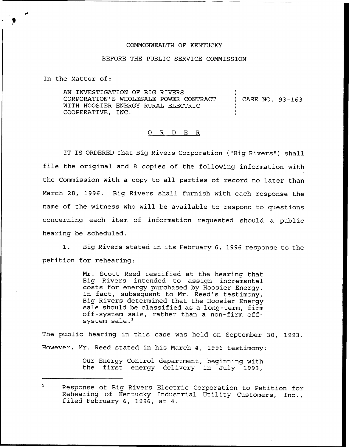## COMMONWEALTH OF KENTUCKY

## BEFORE THE PUBLIC SERVICE COMMISSION

In the Matter of:

AN INVESTIGATION OF BIG R1VERS CORPORATION'S WHOLESALE POWER CONTRACT WITH HOOSIER ENERGY RURAL ELECTRIC COOPERATIVE, INC. ) ) CASE NO. 93-163 ) )

## 0 R <sup>D</sup> E R

IT IS ORDERED that Big Rivers Corporation ("Big Rivers") shall file the original and 8 copies of the following information with the Commission with a copy to all parties of record no later than March 28, 1996. Big Rivers shall furnish with each response the name of the witness who will be available to respond to questions concerning each item of information requested should a public hearing be scheduled.

1. Big Rivers stated in its February 6, 1996 response to the petition for rehearing:

> Mr. Scott Reed testified at the hearing that Big Rivers intended to assign incremental costs for energy purchased by Hoosier Energy. In fact, subsequent to Mr. Reed's testimony, Big Rivers determined that the Hoosier Energy sale should be classified as <sup>a</sup> long-term, firm off-system sale, rather than a non-firm offsystem sale.<sup>1</sup>

The public hearing in this case was held on September 30, 1993. However, Mr. Reed stated in his March 4, 1996 testimony:

> Our Energy Control department, beginning with the first energy delivery in July 1993,

 $\mathbf{1}$ Response of Big Rivers Electric Corporation to Petition for Rehearing of Kentucky Industrial Utility Customers, Inc., filed February 6, 1996, at 4.